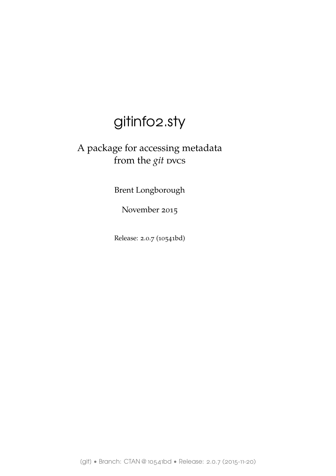# gitinfo2.sty

# A package for accessing metadata from the *git* dvcs

Brent Longborough

November 2015

Release: 2.0.7 (10541bd)

[git] • Branch: CTAN @ 10541bd • Release: 2.0.7 (2015-11-20)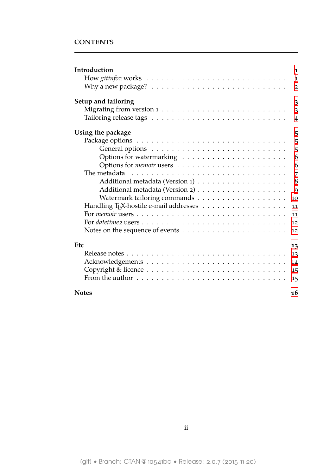### **CONTENTS**

| Introduction<br>1                                                                                      |
|--------------------------------------------------------------------------------------------------------|
| $\mathbf{1}$                                                                                           |
| Why a new package? $\ldots \ldots \ldots \ldots \ldots \ldots \ldots \ldots \ldots$<br>$\overline{2}$  |
| Setup and tailoring<br>$\overline{\mathbf{3}}$                                                         |
| $\overline{3}$                                                                                         |
| $\overline{4}$                                                                                         |
| Using the package<br>5                                                                                 |
| 5                                                                                                      |
| 5                                                                                                      |
| 6                                                                                                      |
| 6                                                                                                      |
| The metadata $\ldots \ldots \ldots \ldots \ldots \ldots \ldots \ldots \ldots \ldots$<br>$\overline{7}$ |
| 8                                                                                                      |
| 9                                                                                                      |
| 10                                                                                                     |
| 11                                                                                                     |
| 11                                                                                                     |
| 12                                                                                                     |
| Notes on the sequence of events $\dots \dots \dots \dots \dots \dots \dots \dots$<br>12                |
| Etc<br>13                                                                                              |
| 13                                                                                                     |
| 14                                                                                                     |
| 15                                                                                                     |
| 15                                                                                                     |
| <b>Notes</b><br>16                                                                                     |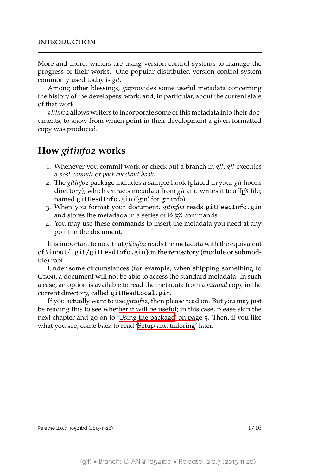<span id="page-2-0"></span>More and more, writers are using version control systems to manage the progress of their works. One popular distributed version control system commonly used today is *git*.

Among other blessings, *git*provides some useful metadata concerning the history of the developers' work, and, in particular, about the current state of that work.

*gitinfo2* allows writers to incorporate some of this metadata into their documents, to show from which point in their development a given formatted copy was produced.

# **How** *gitinfo2* **works**

- <span id="page-2-1"></span>1. Whenever you commit work or check out a branch in *git*, *git* executes a *post-commit* or *post-checkout hook*.
- 2. The *gitinfo2* package includes a sample hook (placed in your *git* hooks directory), which extracts metadata from *git* and writes it to a T<sub>E</sub>X file, named gitHeadInfo.gin ('gin' for **g**it **in**fo).
- 3. When you format your document, *gitinfo2* reads gitHeadInfo.gin and stores the metadada in a series of LATEX commands.
- 4. You may use these commands to insert the metadata you need at any point in the document.

It is important to note that *gitinfo2* reads the metadata with the equivalent of \input{.git/gitHeadInfo.gin} in the repository (module or submodule) root.

Under some circumstances (for example, when shipping something to CTAN), a document will not be able to access the standard metadata. In such a case, an option is available to read the metadata from a *manual* copy in the current directory, called gitHeadLocal.gin.

If you actually want to use *gitinfo2*, then please read on. But you may just be reading this to see whether it will be useful; in this case, please skip the next chapter and go on to 'Using the package' on page 5. Then, if you like what you see, come back to read 'Setup and tailoring' later.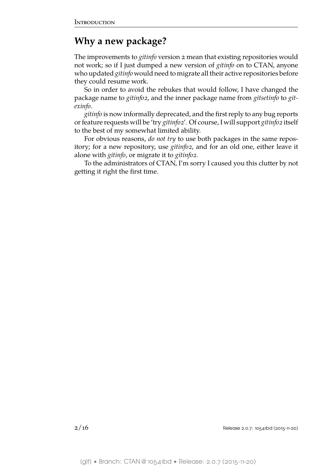# <span id="page-3-0"></span>**Why a new package?**

The improvements to *gitinfo* version 2 mean that existing repositories would not work; so if I just dumped a new version of *gitinfo* on to CTAN, anyone who updated *gitinfo* would need to migrate all their active repositories before they could resume work.

So in order to avoid the rebukes that would follow, I have changed the package name to *gitinfo2*, and the inner package name from *gitsetinfo* to *gitexinfo*.

*gitinfo* is now informally deprecated, and the first reply to any bug reports or feature requests will be 'try *gitinfo2*'. Of course, I will support *gitinfo2* itself to the best of my somewhat limited ability.

For obvious reasons, *do not try* to use both packages in the same repository; for a new repository, use *gitinfo2*, and for an old one, either leave it alone with *gitinfo*, or migrate it to *gitinfo2*.

To the administrators of CTAN, I'm sorry I caused you this clutter by not getting it right the first time.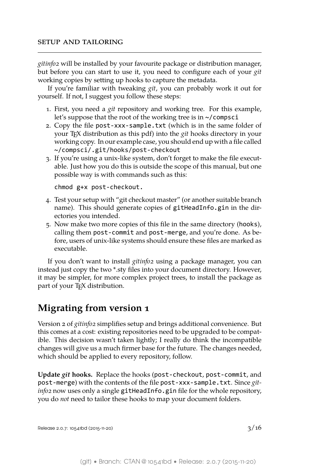<span id="page-4-0"></span>*gitinfo2* will be installed by your favourite package or distribution manager, but before you can start to use it, you need to configure each of your *git* working copies by setting up hooks to capture the metadata.

If you're familiar with tweaking *git*, you can probably work it out for yourself. If not, I suggest you follow these steps:

- 1. First, you need a *git* repository and working tree. For this example, let's suppose that the root of the working tree is in ~/compsci
- 2. Copy the file post-xxx-sample.txt (which is in the same folder of your T<sub>E</sub>X distribution as this pdf) into the *git* hooks directory in your working copy. In our example case, you should end up with a file called ~/compsci/.git/hooks/post-checkout
- 3. If you're using a unix-like system, don't forget to make the file executable. Just how you do this is outside the scope of this manual, but one possible way is with commands such as this:

chmod g+x post-checkout.

- 4. Test your setup with "git checkout master" (or another suitable branch name). This should generate copies of gitHeadInfo.gin in the directories you intended.
- 5. Now make two more copies of this file in the same directory (hooks), calling them post-commit and post-merge, and you're done. As before, users of unix-like systems should ensure these files are marked as executable.

If you don't want to install *gitinfo2* using a package manager, you can instead just copy the two \*.sty files into your document directory. However, it may be simpler, for more complex project trees, to install the package as part of your T<sub>E</sub>X distribution.

# <span id="page-4-1"></span>**Migrating from version 1**

Version 2 of *gitinfo2* simplifies setup and brings additional convenience. But this comes at a cost: existing repositories need to be upgraded to be compatible. This decision wasn't taken lightly; I really do think the incompatible changes will give us a much firmer base for the future. The changes needed, which should be applied to every repository, follow.

**Update** *git* **hooks.** Replace the hooks (post-checkout, post-commit, and post-merge) with the contents of the file post-xxx-sample.txt. Since *gitinfo2* now uses only a single gitHeadInfo.gin file for the whole repository, you do *not* need to tailor these hooks to map your document folders.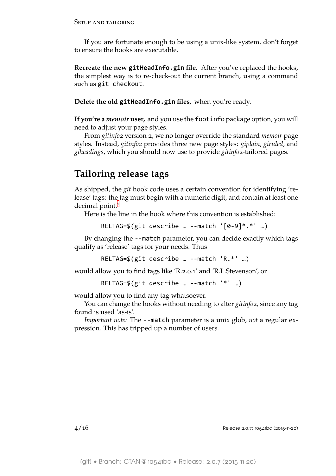If you are fortunate enough to be using a unix-like system, don't forget to ensure the hooks are executable.

**Recreate the new gitHeadInfo.gin file.** After you've replaced the hooks, the simplest way is to re-check-out the current branch, using a command such as git checkout.

**Delete the old gitHeadInfo.gin files,** when you're ready.

**If you're a** *memoir* **user,** and you use the footinfo package option, you will need to adjust your page styles.

From *gitinfo2* version 2, we no longer override the standard *memoir* page styles. Instead, *gitinfo2* provides three new page styles: *giplain*, *giruled*, and *giheadings*, which you should now use to provide *gitinfo2*-tailored pages.

# **Tailoring release tags**

<span id="page-5-0"></span>As shipped, the *git* hook code uses a certain convention for identifying 'release' tags: the tag must begin with a numeric digit, and contain at least one decimal point.<sup>1</sup>

Here is the line in the hook where this convention is established:

RELT[A](#page-17-0)G=\$(git describe … --match '[0-9]\*.\*' …)

By changing the --match parameter, you can decide exactly which tags qualify as 'release' tags for your needs. Thus

RELTAG=\$(git describe … --match 'R.\*' …)

would allow you to find tags like 'R.2.0.1' and 'R.L.Stevenson', or

RELTAG=\$(git describe … --match '\*' …)

would allow you to find any tag whatsoever.

You can change the hooks without needing to alter *gitinfo2*, since any tag found is used 'as-is'.

*Important note:* The --match parameter is a unix glob, *not* a regular expression. This has tripped up a number of users.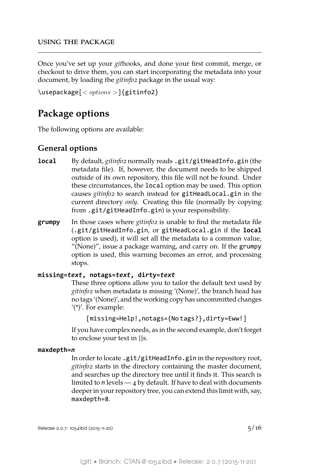<span id="page-6-0"></span>Once you've set up your *git*hooks, and done your first commit, merge, or checkout to drive them, you can start incorporating the metadata into your document, by loading the *gitinfo2* package in the usual way:

```
\usepackage[< options >]{gitinfo2}
```
# <span id="page-6-1"></span>**Package options**

The following options are available:

### <span id="page-6-2"></span>**General options**

- **local** By default, *gitinfo2* normally reads .git/gitHeadInfo.gin (the metadata file). If, however, the document needs to be shipped outside of its own repository, this file will not be found. Under these circumstances, the local option may be used. This option causes *gitinfo2* to search instead for gitHeadLocal.gin in the current directory *only.* Creating this file (normally by copying from .git/gitHeadInfo.gin) is your responsibility.
- **grumpy** In those cases where *gitinfo2* is unable to find the metadata file (.git/gitHeadInfo.gin, or gitHeadLocal.gin if the **local** option is used), it will set all the metadata to a common value, "(None)", issue a package warning, and carry on. If the grumpy option is used, this warning becomes an error, and processing stops.

#### **missing=***text***, notags=***text***, dirty=***text*

These three options allow you to tailor the default text used by *gitinfo2* when metadata is missing '(None)', the branch head has no tags '(None)', and the working copy has uncommitted changes '(\*)'. For example:

```
[missing=Help!,notags={No tags?},dirty=Eww!]
```
If you have complex needs, as in the second example, don't forget to enclose your text in {}s.

#### **maxdepth=***n*

In order to locate .git/gitHeadInfo.gin in the repository root, *gitinfo2* starts in the directory containing the master document, and searches up the directory tree until it finds it. This search is limited to *n* levels — 4 by default. If have to deal with documents deeper in your repository tree, you can extend this limit with, say, maxdepth=8.

Release 2.0.7: 10541bd (2015-11-20)  $5/16$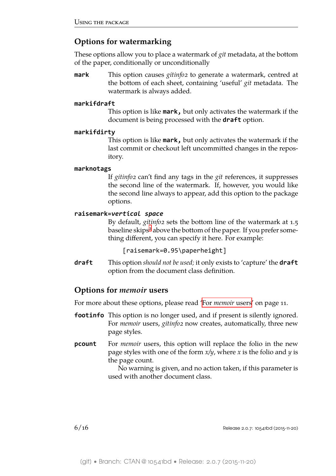# **Options for watermarking**

These options allow you to place a watermark of *git* metadata, at the bottom of the paper, conditionally or unconditionally

<span id="page-7-0"></span>**mark** This option causes *gitinfo2* to generate a watermark, centred at the bottom of each sheet, containing 'useful' *git* metadata. The watermark is always added.

#### **markifdraft**

This option is like **mark,** but only activates the watermark if the document is being processed with the **draft** option.

#### **markifdirty**

This option is like **mark,** but only activates the watermark if the last commit or checkout left uncommitted changes in the repository.

#### **marknotags**

If *gitinfo2* can't find any tags in the *git* references, it suppresses the second line of the watermark. If, however, you would like the second line always to appear, add this option to the package options.

#### **raisemark=***vertical space*

By default, *gitinfo2* sets the bottom line of the watermark at 1.5 baseline skips<sup>2</sup> above the bottom of the paper. If you prefer something different, you can specify it here. For example:

[raisem[a](#page-17-1)rk=0.95\paperheight]

**draft** This option *should not be used;* it only exists to 'capture' the **draft** option from the document class definition.

### **Options for** *memoir* **users**

For more about these options, please read 'For *memoir* users' on page 11.

- <span id="page-7-1"></span>**footinfo** This option is no longer used, and if present is silently ignored. For *memoir* users, *gitinfo2* now [creates, automatic](#page-12-1)ally, three new page styles.
- **pcount** For *memoir* users, this option will replace the folio in the new page styles with one of the form *x/y*, where *x* is the folio and *y* is the page count.

No warning is given, and no action taken, if this parameter is used with another document class.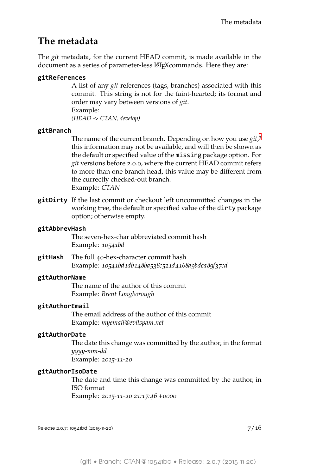# **The metadata**

<span id="page-8-0"></span>The *git* metadata, for the current HEAD commit, is made available in the document as a series of parameter-less LAT<sub>E</sub>Xcommands. Here they are:

### **gitReferences**

A list of any *git* references (tags, branches) associated with this commit. This string is not for the faint-hearted; its format and order may vary between versions of *git*.

Example: *(HEAD -> CTAN, develop)*

### **gitBranch**

The name of the current branch. Depending on how you use *git*, 3 this information may not be available, and will then be shown as the default or specified value of the missing package option. For *git* versions before 2.0.0, where the current HEAD commit refer[s](#page-17-2) to more than one branch head, this value may be different from the currectly checked-out branch. Example: *CTAN*

**gitDirty** If the last commit or checkout left uncommitted changes in the working tree, the default or specified value of the dirty package option; otherwise empty.

#### **gitAbbrevHash**

The seven-hex-char abbreviated commit hash Example: *10541bd*

**gitHash** The full 40-hex-character commit hash Example: *10541bd1db148ba538c521d4168a9bdca89f37cd*

#### **gitAuthorName**

The name of the author of this commit Example: *Brent Longborough*

#### **gitAuthorEmail**

The email address of the author of this commit Example: *myemail@evilspam.net*

#### **gitAuthorDate**

The date this change was committed by the author, in the format *yyyy-mm-dd* Example: *2015-11-20*

#### **gitAuthorIsoDate**

The date and time this change was committed by the author, in ISO format Example: *2015-11-20 21:17:46 +0000*

Release 2.0.7: 10541bd (2015-11-20)  $7/16$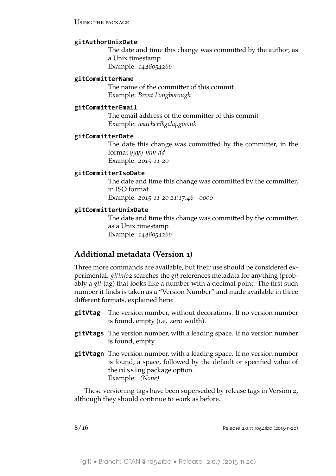#### **gitAuthorUnixDate**

The date and time this change was committed by the author, as a Unix timestamp Example: *1448054266*

#### **gitCommitterName**

The name of the committer of this commit Example: *Brent Longborough*

#### **gitCommitterEmail**

The email address of the committer of this commit Example: *watcher@gchq.gov.uk*

#### **gitCommitterDate**

The date this change was committed by the committer, in the format *yyyy-mm-dd* Example: *2015-11-20*

#### **gitCommitterIsoDate**

The date and time this change was committed by the committer, in ISO format Example: *2015-11-20 21:17:46 +0000*

#### **gitCommitterUnixDate**

The date and time this change was committed by the committer, as a Unix timestamp Example: *1448054266*

### <span id="page-9-0"></span>**Additional metadata (Version 1)**

Three more commands are available, but their use should be considered experimental. *gitinfo2* searches the *git* references metadata for anything (probably a *git* tag) that looks like a number with a decimal point. The first such number it finds is taken as a "Version Number" and made available in three different formats, explained here:

- **gitVtag** The version number, without decorations. If no version number is found, empty (i.e. zero width).
- **gitVtags** The version number, with a leading space. If no version number is found, empty.
- **gitVtagn** The version number, with a leading space. If no version number is found, a space, followed by the default or specified value of the missing package option. Example: *(None)*

These versioning tags have been superseded by release tags in Version 2, although they should continue to work as before.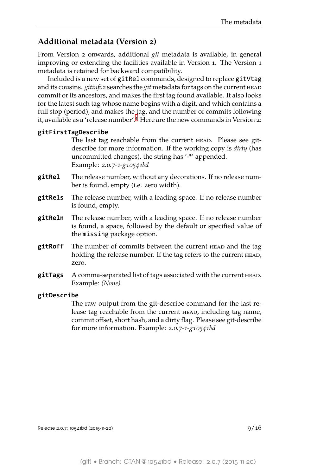### **Additional metadata (Version 2)**

<span id="page-10-0"></span>From Version 2 onwards, additional *git* metadata is available, in general improving or extending the facilities available in Version 1. The Version 1 metadata is retained for backward compatibility.

Included is a new set of gitRel commands, designed to replace gitVtag and its cousins. *gitinfo2* searches the *git* metadata for tags on the current head commit or its ancestors, and makes the first tag found available. It also looks for the latest such tag whose name begins with a digit, and which contains a full stop (period), and makes the tag, and the number of commits following it, available as a 'release number'.<sup>4</sup> Here are the new commands in Version 2:

#### **gitFirstTagDescribe**

The last tag reachable from the current HEAD. Please see gitdescribe for more inf[o](#page-17-3)rmation. If the working copy is *dirty* (has uncommitted changes), the string has '-\*' appended. Example: *2.0.7-1-g10541bd*

- **gitRel** The release number, without any decorations. If no release number is found, empty (i.e. zero width).
- **gitRels** The release number, with a leading space. If no release number is found, empty.
- **gitReln** The release number, with a leading space. If no release number is found, a space, followed by the default or specified value of the missing package option.
- **gitRoff** The number of commits between the current HEAD and the tag holding the release number. If the tag refers to the current HEAD, zero.
- **gitTags** A comma-separated list of tags associated with the current head. Example: *(None)*

#### **gitDescribe**

The raw output from the git-describe command for the last release tag reachable from the current HEAD, including tag name, commit offset, short hash, and a dirty flag. Please see git-describe for more information. Example: *2.0.7-1-g10541bd*

Release 2.0.7: 10541bd (2015-11-20)  $9/16$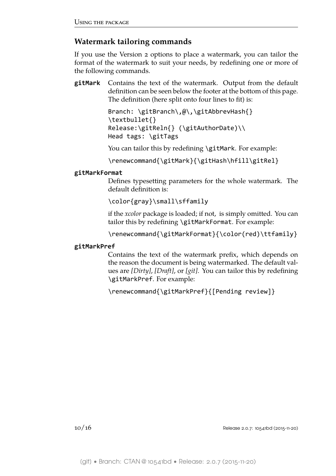### <span id="page-11-0"></span>**Watermark tailoring commands**

If you use the Version 2 options to place a watermark, you can tailor the format of the watermark to suit your needs, by redefining one or more of the following commands.

**gitMark** Contains the text of the watermark. Output from the default definition can be seen below the footer at the bottom of this page. The definition (here split onto four lines to fit) is:

```
Branch: \gitBranch\,@\,\gitAbbrevHash{}
\textbullet{}
Release:\gitReln{} (\gitAuthorDate)\\
Head tags: \gitTags
```
You can tailor this by redefining \gitMark. For example:

\renewcommand{\gitMark}{\gitHash\hfill\gitRel}

### **gitMarkFormat**

Defines typesetting parameters for the whole watermark. The default definition is:

\color{gray}\small\sffamily

if the *xcolor* package is loaded; if not, is simply omitted. You can tailor this by redefining \gitMarkFormat. For example:

\renewcommand{\gitMarkFormat}{\color(red)\ttfamily}

### **gitMarkPref**

Contains the text of the watermark prefix, which depends on the reason the document is being watermarked. The default values are *[Dirty]*, *[Draft]*, or *[git]*. You can tailor this by redefining \gitMarkPref. For example:

\renewcommand{\gitMarkPref}{[Pending review]}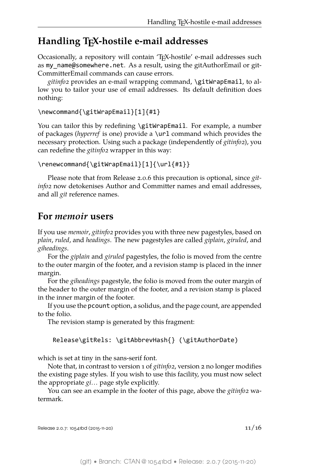# <span id="page-12-0"></span>**Handling TEX-hostile e-mail addresses**

Occasionally, a repository will contain 'TEX-hostile' e-mail addresses such as my name@somewhere.net. As a result, using the gitAuthorEmail or git-CommitterEmail commands can cause errors.

*gitinfo2* provides an e-mail wrapping command, \gitWrapEmail, to allow you to tailor your use of email addresses. Its default definition does nothing:

```
\newcommand{\gitWrapEmail}[1]{#1}
```
You can tailor this by redefining \gitWrapEmail. For example, a number of packages (*hyperref* is one) provide a \url command which provides the necessary protection. Using such a package (independently of *gitinfo2*), you can redefine the *gitinfo2* wrapper in this way:

```
\renewcommand{\gitWrapEmail}[1]{\url{#1}}
```
Please note that from Release 2.0.6 this precaution is optional, since *gitinfo2* now detokenises Author and Committer names and email addresses, and all *git* reference names.

# <span id="page-12-1"></span>**For** *memoir* **users**

If you use *memoir*, *gitinfo2* provides you with three new pagestyles, based on *plain*, *ruled*, and *headings*. The new pagestyles are called *giplain*, *giruled*, and *giheadings*.

For the *giplain* and *giruled* pagestyles, the folio is moved from the centre to the outer margin of the footer, and a revision stamp is placed in the inner margin.

For the *giheadings* pagestyle, the folio is moved from the outer margin of the header to the outer margin of the footer, and a revision stamp is placed in the inner margin of the footer.

If you use the pcount option, a solidus, and the page count, are appended to the folio.

The revision stamp is generated by this fragment:

```
Release\gitRels: \gitAbbrevHash{} (\gitAuthorDate)
```
which is set at tiny in the sans-serif font.

Note that, in contrast to version 1 of *gitinfo2*, version 2 no longer modifies the existing page styles. If you wish to use this facility, you must now select the appropriate *gi…* page style explicitly.

You can see an example in the footer of this page, above the *gitinfo2* watermark.

Release 2.0.7: 10541bd (2015-11-20) 11  $11/16$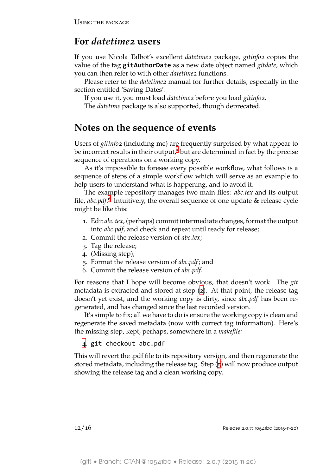# **For** *datetime2* **users**

<span id="page-13-0"></span>If you use Nicola Talbot's excellent *datetime2* package, *gitinfo2* copies the value of the tag **gitAuthorDate** as a new date object named *gitdate*, which you can then refer to with other *datetime2* functions.

Please refer to the *datetime2* manual for further details, especially in the section entitled 'Saving Dates'.

If you use it, you must load *datetime2* before you load *gitinfo2*.

The *datetime* package is also supported, though deprecated.

# **Notes on the sequence of events**

<span id="page-13-1"></span>Users of *gitinfo2* (including me) are frequently surprised by what appear to be incorrect results in their output,<sup>5</sup> but are determined in fact by the precise sequence of operations on a working copy.

As it's impossible to foresee every possible workflow, what follows is a sequence of steps of a simple wo[rk](#page-17-4)flow which will serve as an example to help users to understand what is happening, and to avoid it.

The example repository manages two main files: *abc.tex* and its output file, abc.pdf.<sup>6</sup> Intuitively, the overall sequence of one update & release cycle might be like this:

- 1. Edit *abc.tex*, (perhaps) commit intermediate changes, format the output into *a[bc](#page-17-5).pdf*, and check and repeat until ready for release;
- 2. Commit the release version of *abc.tex*;
- 3. Tag the release;
- 4. (Missing step);
- <span id="page-13-2"></span>5. Format the release version of *abc.pdf*; and
- 6. Commit the release version of *abc.pdf*.

<span id="page-13-3"></span>For reasons that I hope will become obvious, that doesn't work. The *git* metadata is extracted and stored at step (2). At that point, the release tag doesn't yet exist, and the working copy is dirty, since *abc.pdf* has been regenerated, and has changed since the last recorded version.

It's simple to fix; all we have to do is en[su](#page-13-2)re the working copy is clean and regenerate the saved metadata (now with correct tag information). Here's the missing step, kept, perhaps, somewhere in a *makefile:*

4. git checkout abc.pdf

This will revert the .pdf file to its repository version, and then regenerate the stored metadata, including the release tag. Step (5) will now produce output sh[ow](#page-13-3)ing the release tag and a clean working copy.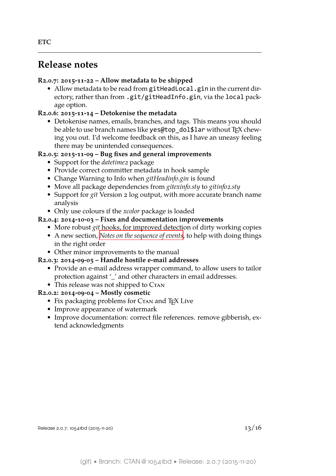# <span id="page-14-0"></span>**Release notes**

#### <span id="page-14-1"></span>**R2.0.7: 2015-11-22 – Allow metadata to be shipped**

• Allow metadata to be read from gitHeadLocal.gin in the current directory, rather than from .git/gitHeadInfo.gin, via the local package option.

### **R2.0.6: 2015-11-14 – Detokenise the metadata**

• Detokenise names, emails, branches, and tags. This means you should be able to use branch names like yes@top\_dol\$lar without TEX chewing you out. I'd welcome feedback on this, as I have an uneasy feeling there may be unintended consequences.

### **R2.0.5: 2015-11-09 – Bug fixes and general improvements**

- Support for the *datetime* 2 package
- Provide correct committer metadata in hook sample
- Change Warning to Info when *gitHeadinfo.gin* is found
- Move all package dependencies from *gitexinfo.sty* to *gitinfo2.sty*
- Support for *git* Version 2 log output, with more accurate branch name analysis
- Only use colours if the *xcolor* package is loaded

#### **R2.0.4: 2014-10-03 – Fixes and documentation improvements**

- More robust *git* hooks, for improved detection of dirty working copies
- A new section, *Notes on the sequence of events*, to help with doing things in the right order
- Other minor improvements to the manual

#### **R2.0.3: 2014-09-05 – [Handle hostile e-mail addre](#page-13-1)sses**

- Provide an e-mail address wrapper command, to allow users to tailor protection against '\_' and other characters in email addresses.
- This release was not shipped to CTAN

### **R2.0.2: 2014-09-04 – Mostly cosmetic**

- Fix packaging problems for CTAN and T<sub>E</sub>X Live
- Improve appearance of watermark
- Improve documentation: correct file references. remove gibberish, extend acknowledgments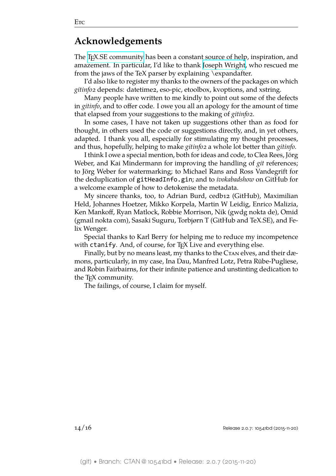# **Acknowledgements**

<span id="page-15-0"></span>The T<sub>E</sub>X.SE community has been a constant source of help, inspiration, and amazement. In particular, I'd like to thank Joseph Wright, who rescued me from the jaws of the TeX parser by explaining \expandafter.

I['d also like to registe](http://tex.stackexchange.com)r my thanks to the owners of the packages on which *gitinfo2* depends: datetime2, eso-pic, etool[box, kvoptions,](http://tex.stackexchange.com/users/73/joseph-wright) and xstring.

Many people have written to me kindly to point out some of the defects in *gitinfo*, and to offer code. I owe you all an apology for the amount of time that elapsed from your suggestions to the making of *gitinfo2*.

In some cases, I have not taken up suggestions other than as food for thought, in others used the code or suggestions directly, and, in yet others, adapted. I thank you all, especially for stimulating my thought processes, and thus, hopefully, helping to make *gitinfo2* a whole lot better than *gitinfo*.

I think I owe a special mention, both for ideas and code, to Clea Rees, Jörg Weber, and Kai Mindermann for improving the handling of *git* references; to Jörg Weber for watermarking; to Michael Rans and Ross Vandegrift for the deduplication of gitHeadInfo.gin; and to *ivokabadshow* on GitHub for a welcome example of how to detokenise the metadata.

My sincere thanks, too, to Adrian Burd, cedb12 (GitHub), Maximilian Held, Johannes Hoetzer, Mikko Korpela, Martin W Leidig, Enrico Malizia, Ken Mankoff, Ryan Matlock, Robbie Morrison, Nik (gwdg nokta de), Omid (gmail nokta com), Sasaki Suguru, Torbjørn T (GitHub and TeX.SE), and Felix Wenger.

Special thanks to Karl Berry for helping me to reduce my incompetence with ctanify. And, of course, for T<sub>F</sub>X Live and everything else.

Finally, but by no means least, my thanks to the C<sub>TAN</sub> elves, and their dæmons, particularly, in my case, Ina Dau, Manfred Lotz, Petra Rübe-Pugliese, and Robin Fairbairns, for their infinite patience and unstinting dedication to the T<sub>F</sub>X community.

The failings, of course, I claim for myself.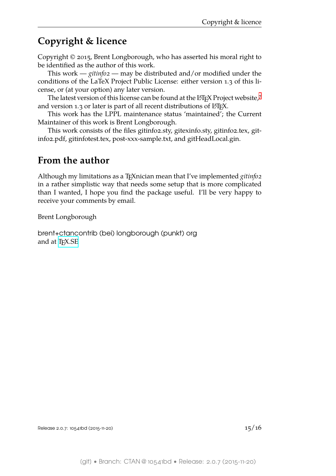# **Copyright & licence**

<span id="page-16-0"></span>Copyright © 2015, Brent Longborough, who has asserted his moral right to be identified as the author of this work.

This work — *gitinfo2* — may be distributed and/or modified under the conditions of the LaTeX Project Public License: either version 1.3 of this license, or (at your option) any later version.

The latest version of this license can be found at the  $E$ T<sub>F</sub>X Project website, $7$ and version 1.3 or later is part of all recent distributions of  $ETeX$ .

This work has the LPPL maintenance status 'maintained'; the Current Maintainer of this work is Brent Longborough.

This work consists of the files gitinfo2.sty, gitexinfo.sty, gitinfo2.tex, gitinfo2.pdf, gitinfotest.tex, post-xxx-sample.txt, and gitHeadLocal.gin.

# **From the author**

Although my limitations as a TEXnician mean that I've implemented *gitinfo2* in a rather simplistic way that needs some setup that is more complicated than I wanted, I hope you find the package useful. I'll be very happy to receive your comments by email.

Brent Longborough

brent+ctancontrib (bei) longborough (punkt) org and at  $T_F X.SE$